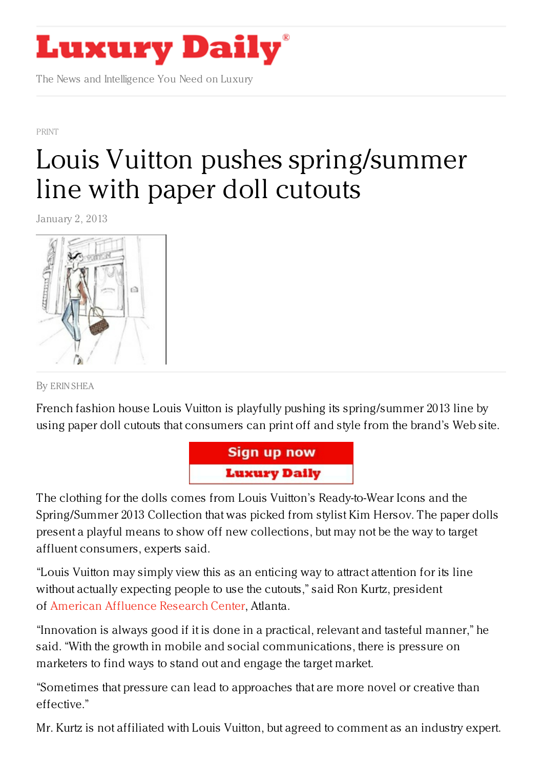

The News and Intelligence You Need on Luxury

[PRINT](https://www.luxurydaily.com/category/news/print/)

## Louis Vuitton pushes [spring/summer](https://www.luxurydaily.com/louis-vuitton-pushes-springsummer-line-with-paper-doll-cutouts/) line with paper doll cutouts

January 2, 2013



By ERIN [SHEA](/author/erin-shea)

French fashion house Louis Vuitton is playfully pushing its spring/summer 2013 line by using paper doll cutouts that consumers can print off and style from the brand's Web site.



The clothing for the dolls comes from Louis Vuitton's Ready-to-Wear Icons and the Spring/Summer 2013 Collection that was picked from stylist Kim Hersov. The paper dolls present a playful means to show off new collections, but may not be the way to target affluent consumers, experts said.

"Louis Vuitton may simply view this as an enticing way to attract attention for its line without actually expecting people to use the cutouts," said Ron Kurtz, president of American [Affluence](http://affluenceresearch.org/) Research Center, Atlanta.

"Innovation is always good if it is done in a practical, relevant and tasteful manner," he said. "With the growth in mobile and social communications, there is pressure on marketers to find ways to stand out and engage the target market.

"Sometimes that pressure can lead to approaches that are more novel or creative than effective."

Mr. Kurtz is not affiliated with Louis Vuitton, but agreed to comment as an industry expert.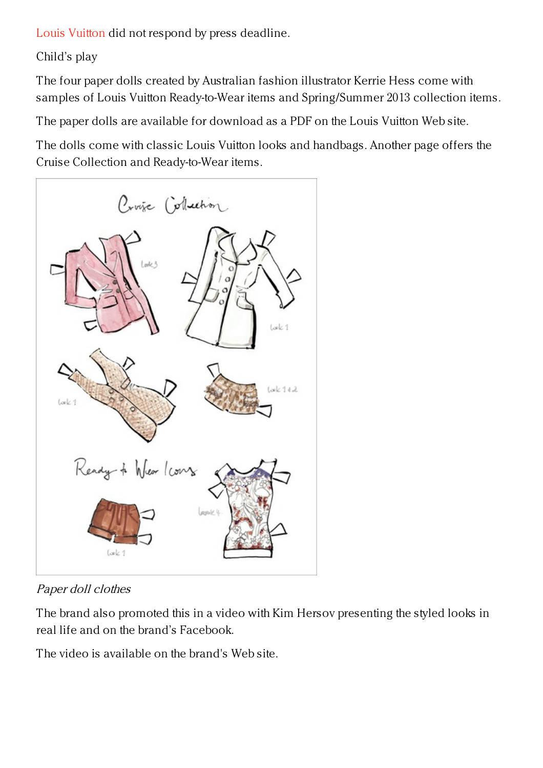Louis [Vuitton](http://www.louisvuitton.com) did not respond by press deadline.

Child's play

The four paper dolls created by Australian fashion illustrator Kerrie Hess come with samples of Louis Vuitton Ready-to-Wear items and Spring/Summer 2013 collection items.

The paper dolls are available for download as a PDF on the Louis Vuitton Web site.

The dolls come with classic Louis Vuitton looks and handbags. Another page offers the Cruise Collection and Ready-to-Wear items.



Paper doll clothes

The brand also promoted this in a video with Kim Hersov presenting the styled looks in real life and on the brand's Facebook.

The video is available on the brand's Web site.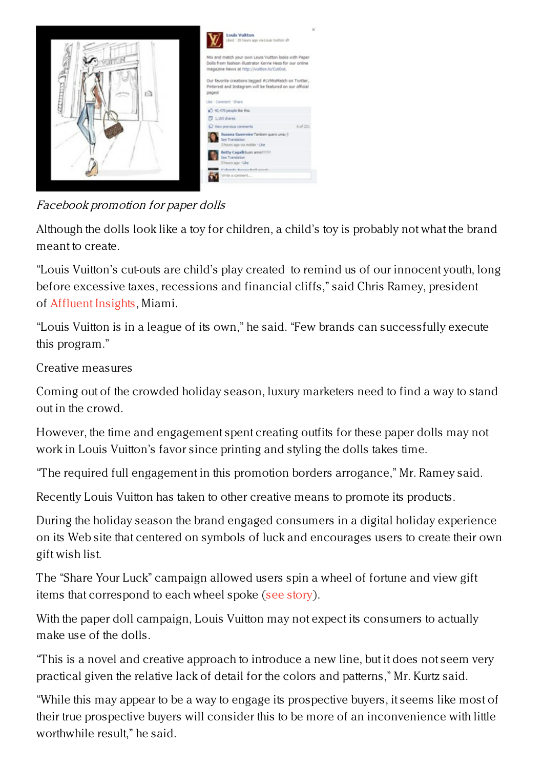

Facebook promotion for paper dolls

Although the dolls look like a toy for children, a child's toy is probably not what the brand meant to create.

"Louis Vuitton's cut-outs are child's play created to remind us of our innocent youth, long before excessive taxes, recessions and financial cliffs," said Chris Ramey, president of [Affluent](http://www.affluentinsights.com/) Insights, Miami.

"Louis Vuitton is in a league of its own," he said. "Few brands can successfully execute this program."

Creative measures

Coming out of the crowded holiday season, luxury marketers need to find a way to stand out in the crowd.

However, the time and engagement spent creating outfits for these paper dolls may not work in Louis Vuitton's favor since printing and styling the dolls takes time.

"The required full engagement in this promotion borders arrogance," Mr. Ramey said.

Recently Louis Vuitton has taken to other creative means to promote its products.

During the holiday season the brand engaged consumers in a digital holiday experience on its Web site that centered on symbols of luck and encourages users to create their own gift wish list.

The "Share Your Luck" campaign allowed users spin a wheel of fortune and view gift items that correspond to each wheel spoke (see [story](https://www.luxurydaily.com/louis-vuitton-channels-luck-to-push-holiday-gifts/)).

With the paper doll campaign, Louis Vuitton may not expect its consumers to actually make use of the dolls.

"This is a novel and creative approach to introduce a new line, but it does not seem very practical given the relative lack of detail for the colors and patterns," Mr. Kurtz said.

"While this may appear to be a way to engage its prospective buyers, it seems like most of their true prospective buyers will consider this to be more of an inconvenience with little worthwhile result," he said.